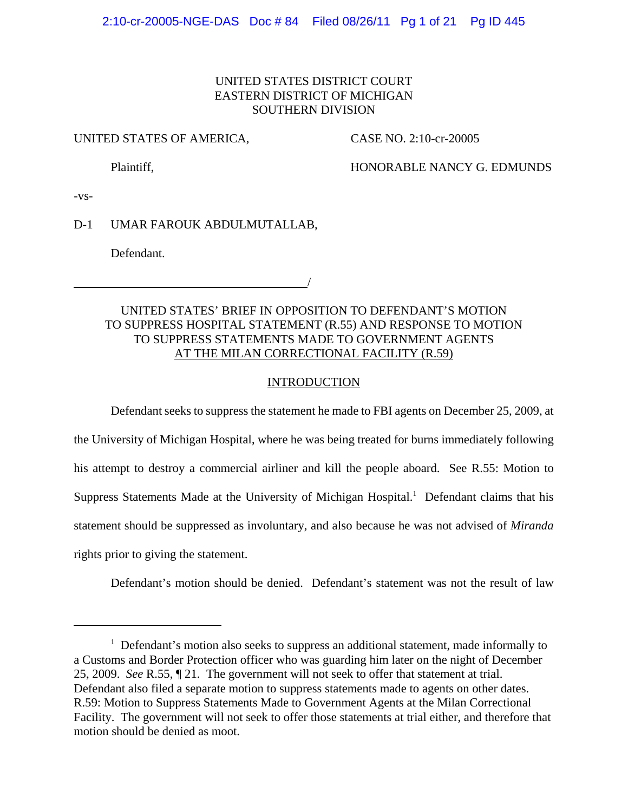# UNITED STATES DISTRICT COURT EASTERN DISTRICT OF MICHIGAN SOUTHERN DIVISION

## UNITED STATES OF AMERICA, CASE NO. 2:10-cr-20005

Plaintiff, **HONORABLE NANCY G. EDMUNDS** 

-vs-

D-1 UMAR FAROUK ABDULMUTALLAB,

<u>/</u>

Defendant.

UNITED STATES' BRIEF IN OPPOSITION TO DEFENDANT'S MOTION TO SUPPRESS HOSPITAL STATEMENT (R.55) AND RESPONSE TO MOTION TO SUPPRESS STATEMENTS MADE TO GOVERNMENT AGENTS AT THE MILAN CORRECTIONAL FACILITY (R.59)

# INTRODUCTION

Defendant seeks to suppress the statement he made to FBI agents on December 25, 2009, at the University of Michigan Hospital, where he was being treated for burns immediately following his attempt to destroy a commercial airliner and kill the people aboard. See R.55: Motion to Suppress Statements Made at the University of Michigan Hospital.<sup>1</sup> Defendant claims that his statement should be suppressed as involuntary, and also because he was not advised of *Miranda* rights prior to giving the statement.

Defendant's motion should be denied. Defendant's statement was not the result of law

<sup>&</sup>lt;sup>1</sup> Defendant's motion also seeks to suppress an additional statement, made informally to a Customs and Border Protection officer who was guarding him later on the night of December 25, 2009. *See* R.55, ¶ 21. The government will not seek to offer that statement at trial. Defendant also filed a separate motion to suppress statements made to agents on other dates. R.59: Motion to Suppress Statements Made to Government Agents at the Milan Correctional Facility. The government will not seek to offer those statements at trial either, and therefore that motion should be denied as moot.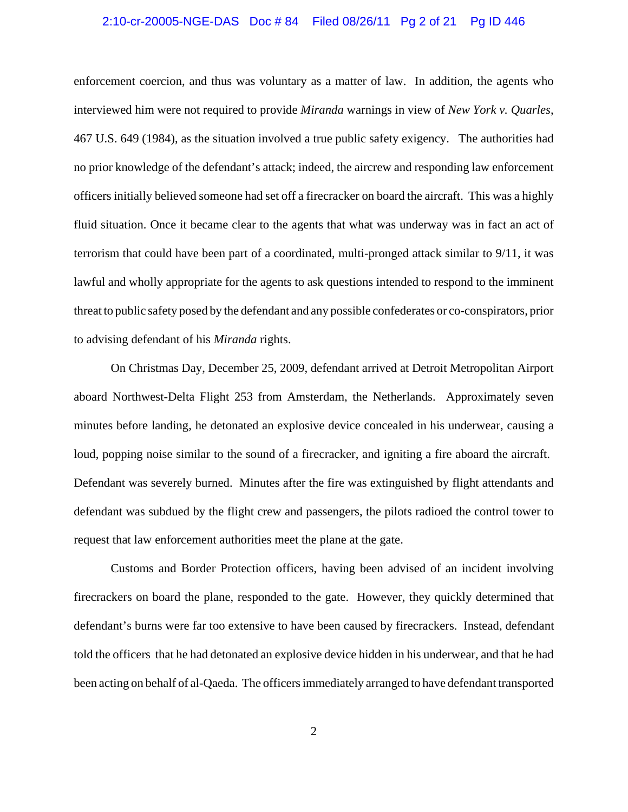# 2:10-cr-20005-NGE-DAS Doc # 84 Filed 08/26/11 Pg 2 of 21 Pg ID 446

enforcement coercion, and thus was voluntary as a matter of law. In addition, the agents who interviewed him were not required to provide *Miranda* warnings in view of *New York v. Quarles*, 467 U.S. 649 (1984), as the situation involved a true public safety exigency. The authorities had no prior knowledge of the defendant's attack; indeed, the aircrew and responding law enforcement officers initially believed someone had set off a firecracker on board the aircraft. This was a highly fluid situation. Once it became clear to the agents that what was underway was in fact an act of terrorism that could have been part of a coordinated, multi-pronged attack similar to 9/11, it was lawful and wholly appropriate for the agents to ask questions intended to respond to the imminent threat to public safety posed by the defendant and any possible confederates or co-conspirators, prior to advising defendant of his *Miranda* rights.

On Christmas Day, December 25, 2009, defendant arrived at Detroit Metropolitan Airport aboard Northwest-Delta Flight 253 from Amsterdam, the Netherlands. Approximately seven minutes before landing, he detonated an explosive device concealed in his underwear, causing a loud, popping noise similar to the sound of a firecracker, and igniting a fire aboard the aircraft. Defendant was severely burned. Minutes after the fire was extinguished by flight attendants and defendant was subdued by the flight crew and passengers, the pilots radioed the control tower to request that law enforcement authorities meet the plane at the gate.

Customs and Border Protection officers, having been advised of an incident involving firecrackers on board the plane, responded to the gate. However, they quickly determined that defendant's burns were far too extensive to have been caused by firecrackers. Instead, defendant told the officers that he had detonated an explosive device hidden in his underwear, and that he had been acting on behalf of al-Qaeda. The officers immediately arranged to have defendant transported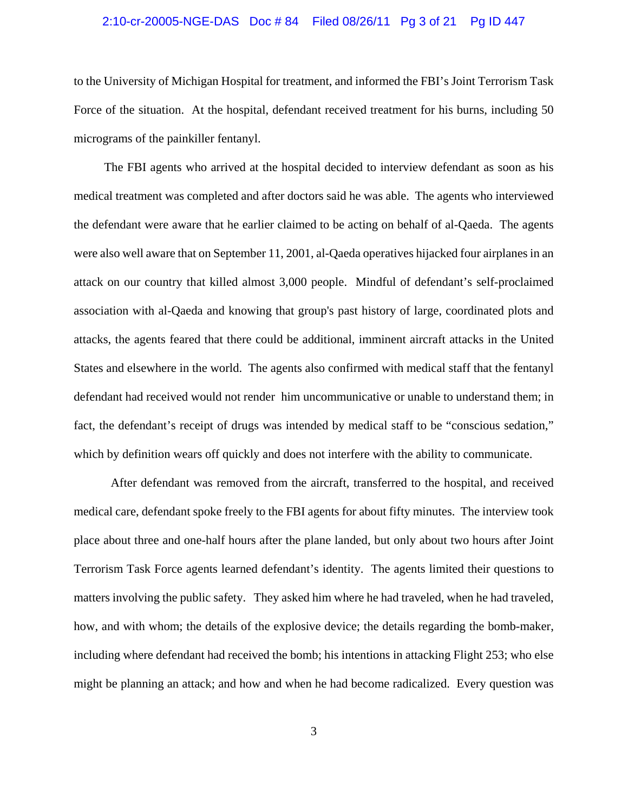# 2:10-cr-20005-NGE-DAS Doc # 84 Filed 08/26/11 Pg 3 of 21 Pg ID 447

to the University of Michigan Hospital for treatment, and informed the FBI's Joint Terrorism Task Force of the situation. At the hospital, defendant received treatment for his burns, including 50 micrograms of the painkiller fentanyl.

 The FBI agents who arrived at the hospital decided to interview defendant as soon as his medical treatment was completed and after doctors said he was able. The agents who interviewed the defendant were aware that he earlier claimed to be acting on behalf of al-Qaeda. The agents were also well aware that on September 11, 2001, al-Qaeda operatives hijacked four airplanes in an attack on our country that killed almost 3,000 people. Mindful of defendant's self-proclaimed association with al-Qaeda and knowing that group's past history of large, coordinated plots and attacks, the agents feared that there could be additional, imminent aircraft attacks in the United States and elsewhere in the world. The agents also confirmed with medical staff that the fentanyl defendant had received would not render him uncommunicative or unable to understand them; in fact, the defendant's receipt of drugs was intended by medical staff to be "conscious sedation," which by definition wears off quickly and does not interfere with the ability to communicate.

After defendant was removed from the aircraft, transferred to the hospital, and received medical care, defendant spoke freely to the FBI agents for about fifty minutes. The interview took place about three and one-half hours after the plane landed, but only about two hours after Joint Terrorism Task Force agents learned defendant's identity. The agents limited their questions to matters involving the public safety. They asked him where he had traveled, when he had traveled, how, and with whom; the details of the explosive device; the details regarding the bomb-maker, including where defendant had received the bomb; his intentions in attacking Flight 253; who else might be planning an attack; and how and when he had become radicalized. Every question was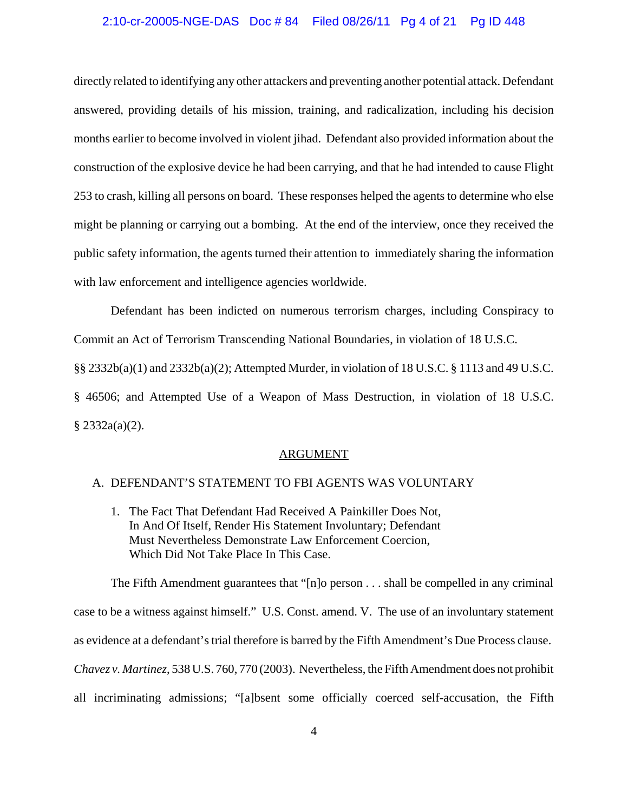# 2:10-cr-20005-NGE-DAS Doc # 84 Filed 08/26/11 Pg 4 of 21 Pg ID 448

directly related to identifying any other attackers and preventing another potential attack. Defendant answered, providing details of his mission, training, and radicalization, including his decision months earlier to become involved in violent jihad. Defendant also provided information about the construction of the explosive device he had been carrying, and that he had intended to cause Flight 253 to crash, killing all persons on board. These responses helped the agents to determine who else might be planning or carrying out a bombing. At the end of the interview, once they received the public safety information, the agents turned their attention to immediately sharing the information with law enforcement and intelligence agencies worldwide.

Defendant has been indicted on numerous terrorism charges, including Conspiracy to Commit an Act of Terrorism Transcending National Boundaries, in violation of 18 U.S.C. §§ 2332b(a)(1) and 2332b(a)(2); Attempted Murder, in violation of 18 U.S.C. § 1113 and 49 U.S.C. § 46506; and Attempted Use of a Weapon of Mass Destruction, in violation of 18 U.S.C.  $§ 2332a(a)(2).$ 

#### ARGUMENT

### A. DEFENDANT'S STATEMENT TO FBI AGENTS WAS VOLUNTARY

1. The Fact That Defendant Had Received A Painkiller Does Not, In And Of Itself, Render His Statement Involuntary; Defendant Must Nevertheless Demonstrate Law Enforcement Coercion, Which Did Not Take Place In This Case.

The Fifth Amendment guarantees that "[n]o person . . . shall be compelled in any criminal case to be a witness against himself." U.S. Const. amend. V. The use of an involuntary statement as evidence at a defendant's trial therefore is barred by the Fifth Amendment's Due Process clause. *Chavez v. Martinez*, 538 U.S. 760, 770 (2003). Nevertheless, the Fifth Amendment does not prohibit all incriminating admissions; "[a]bsent some officially coerced self-accusation, the Fifth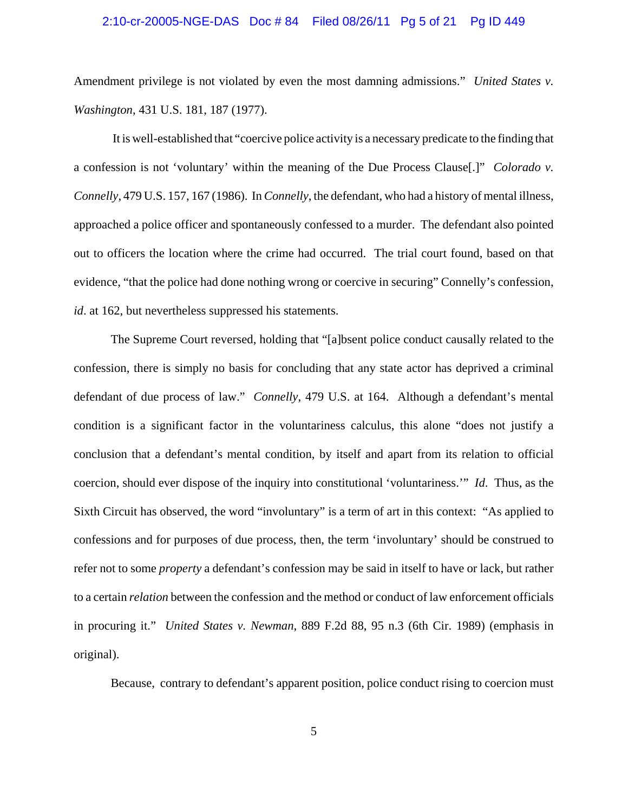# 2:10-cr-20005-NGE-DAS Doc # 84 Filed 08/26/11 Pg 5 of 21 Pg ID 449

Amendment privilege is not violated by even the most damning admissions." *United States v. Washington*, 431 U.S. 181, 187 (1977).

 It is well-established that "coercive police activity is a necessary predicate to the finding that a confession is not 'voluntary' within the meaning of the Due Process Clause[.]" *Colorado v. Connelly*, 479 U.S. 157, 167 (1986). In *Connelly*, the defendant, who had a history of mental illness, approached a police officer and spontaneously confessed to a murder. The defendant also pointed out to officers the location where the crime had occurred. The trial court found, based on that evidence, "that the police had done nothing wrong or coercive in securing" Connelly's confession, *id*. at 162, but nevertheless suppressed his statements.

The Supreme Court reversed, holding that "[a]bsent police conduct causally related to the confession, there is simply no basis for concluding that any state actor has deprived a criminal defendant of due process of law." *Connelly*, 479 U.S. at 164. Although a defendant's mental condition is a significant factor in the voluntariness calculus, this alone "does not justify a conclusion that a defendant's mental condition, by itself and apart from its relation to official coercion, should ever dispose of the inquiry into constitutional 'voluntariness.'" *Id*. Thus, as the Sixth Circuit has observed, the word "involuntary" is a term of art in this context: "As applied to confessions and for purposes of due process, then, the term 'involuntary' should be construed to refer not to some *property* a defendant's confession may be said in itself to have or lack, but rather to a certain *relation* between the confession and the method or conduct of law enforcement officials in procuring it." *United States v. Newman*, 889 F.2d 88, 95 n.3 (6th Cir. 1989) (emphasis in original).

Because, contrary to defendant's apparent position, police conduct rising to coercion must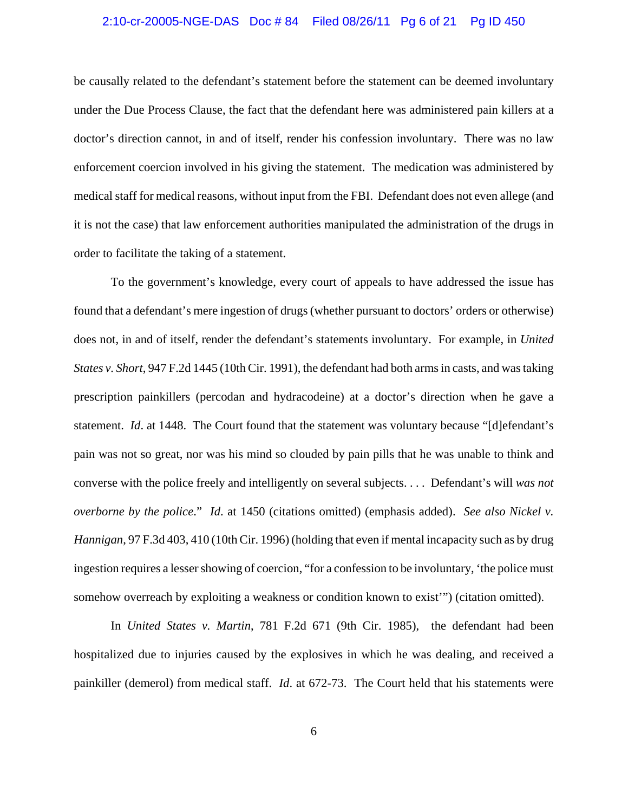# 2:10-cr-20005-NGE-DAS Doc # 84 Filed 08/26/11 Pg 6 of 21 Pg ID 450

be causally related to the defendant's statement before the statement can be deemed involuntary under the Due Process Clause, the fact that the defendant here was administered pain killers at a doctor's direction cannot, in and of itself, render his confession involuntary. There was no law enforcement coercion involved in his giving the statement. The medication was administered by medical staff for medical reasons, without input from the FBI. Defendant does not even allege (and it is not the case) that law enforcement authorities manipulated the administration of the drugs in order to facilitate the taking of a statement.

To the government's knowledge, every court of appeals to have addressed the issue has found that a defendant's mere ingestion of drugs (whether pursuant to doctors' orders or otherwise) does not, in and of itself, render the defendant's statements involuntary. For example, in *United States v. Short*, 947 F.2d 1445 (10th Cir. 1991), the defendant had both arms in casts, and was taking prescription painkillers (percodan and hydracodeine) at a doctor's direction when he gave a statement. *Id*. at 1448. The Court found that the statement was voluntary because "[d]efendant's pain was not so great, nor was his mind so clouded by pain pills that he was unable to think and converse with the police freely and intelligently on several subjects. . . . Defendant's will *was not overborne by the police*." *Id*. at 1450 (citations omitted) (emphasis added). *See also Nickel v. Hannigan*, 97 F.3d 403, 410 (10th Cir. 1996) (holding that even if mental incapacity such as by drug ingestion requires a lesser showing of coercion, "for a confession to be involuntary, 'the police must somehow overreach by exploiting a weakness or condition known to exist'") (citation omitted).

In *United States v. Martin*, 781 F.2d 671 (9th Cir. 1985), the defendant had been hospitalized due to injuries caused by the explosives in which he was dealing, and received a painkiller (demerol) from medical staff. *Id*. at 672-73. The Court held that his statements were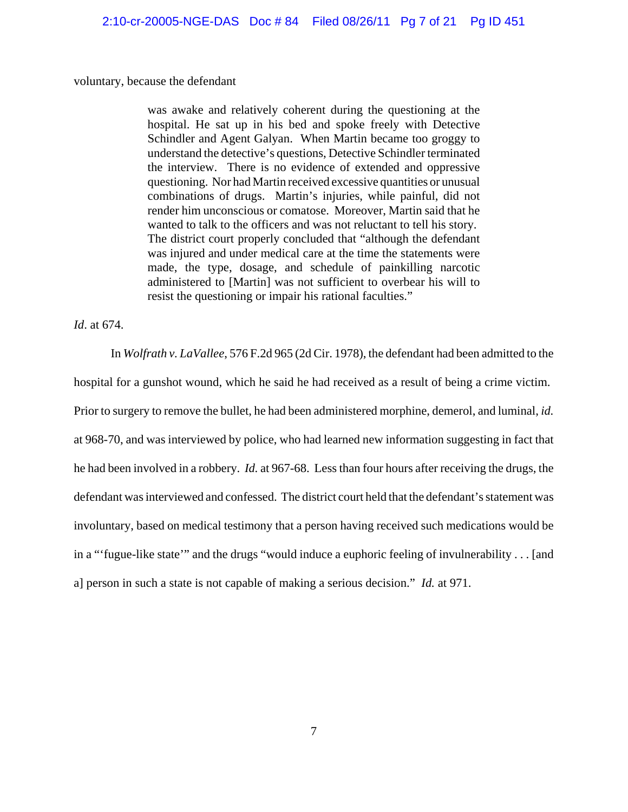voluntary, because the defendant

was awake and relatively coherent during the questioning at the hospital. He sat up in his bed and spoke freely with Detective Schindler and Agent Galyan. When Martin became too groggy to understand the detective's questions, Detective Schindler terminated the interview. There is no evidence of extended and oppressive questioning. Nor had Martin received excessive quantities or unusual combinations of drugs. Martin's injuries, while painful, did not render him unconscious or comatose. Moreover, Martin said that he wanted to talk to the officers and was not reluctant to tell his story. The district court properly concluded that "although the defendant was injured and under medical care at the time the statements were made, the type, dosage, and schedule of painkilling narcotic administered to [Martin] was not sufficient to overbear his will to resist the questioning or impair his rational faculties."

*Id*. at 674.

In *Wolfrath v. LaVallee*, 576 F.2d 965 (2d Cir. 1978), the defendant had been admitted to the hospital for a gunshot wound, which he said he had received as a result of being a crime victim. Prior to surgery to remove the bullet, he had been administered morphine, demerol, and luminal, *id.* at 968-70, and was interviewed by police, who had learned new information suggesting in fact that he had been involved in a robbery. *Id.* at 967-68. Less than four hours after receiving the drugs, the defendant was interviewed and confessed. The district court held that the defendant's statement was involuntary, based on medical testimony that a person having received such medications would be in a "'fugue-like state'" and the drugs "would induce a euphoric feeling of invulnerability . . . [and a] person in such a state is not capable of making a serious decision." *Id.* at 971.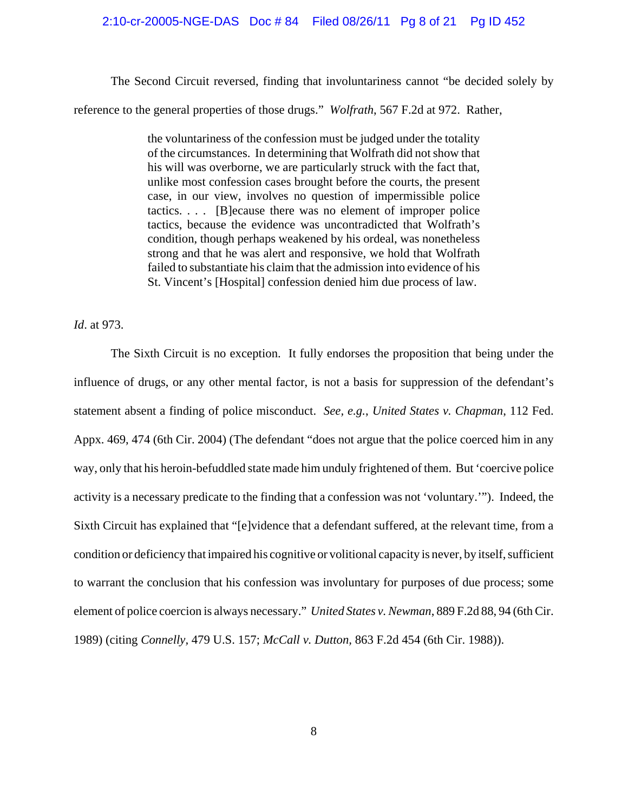### 2:10-cr-20005-NGE-DAS Doc # 84 Filed 08/26/11 Pg 8 of 21 Pg ID 452

The Second Circuit reversed, finding that involuntariness cannot "be decided solely by reference to the general properties of those drugs." *Wolfrath*, 567 F.2d at 972. Rather,

> the voluntariness of the confession must be judged under the totality of the circumstances. In determining that Wolfrath did not show that his will was overborne, we are particularly struck with the fact that, unlike most confession cases brought before the courts, the present case, in our view, involves no question of impermissible police tactics. . . . [B]ecause there was no element of improper police tactics, because the evidence was uncontradicted that Wolfrath's condition, though perhaps weakened by his ordeal, was nonetheless strong and that he was alert and responsive, we hold that Wolfrath failed to substantiate his claim that the admission into evidence of his St. Vincent's [Hospital] confession denied him due process of law.

*Id*. at 973.

The Sixth Circuit is no exception. It fully endorses the proposition that being under the influence of drugs, or any other mental factor, is not a basis for suppression of the defendant's statement absent a finding of police misconduct. *See, e.g.*, *United States v. Chapman*, 112 Fed. Appx. 469, 474 (6th Cir. 2004) (The defendant "does not argue that the police coerced him in any way, only that his heroin-befuddled state made him unduly frightened of them. But 'coercive police activity is a necessary predicate to the finding that a confession was not 'voluntary.'"). Indeed, the Sixth Circuit has explained that "[e]vidence that a defendant suffered, at the relevant time, from a condition or deficiency that impaired his cognitive or volitional capacity is never, by itself, sufficient to warrant the conclusion that his confession was involuntary for purposes of due process; some element of police coercion is always necessary." *United States v. Newman*, 889 F.2d 88, 94 (6th Cir. 1989) (citing *Connelly,* 479 U.S. 157; *McCall v. Dutton,* 863 F.2d 454 (6th Cir. 1988)).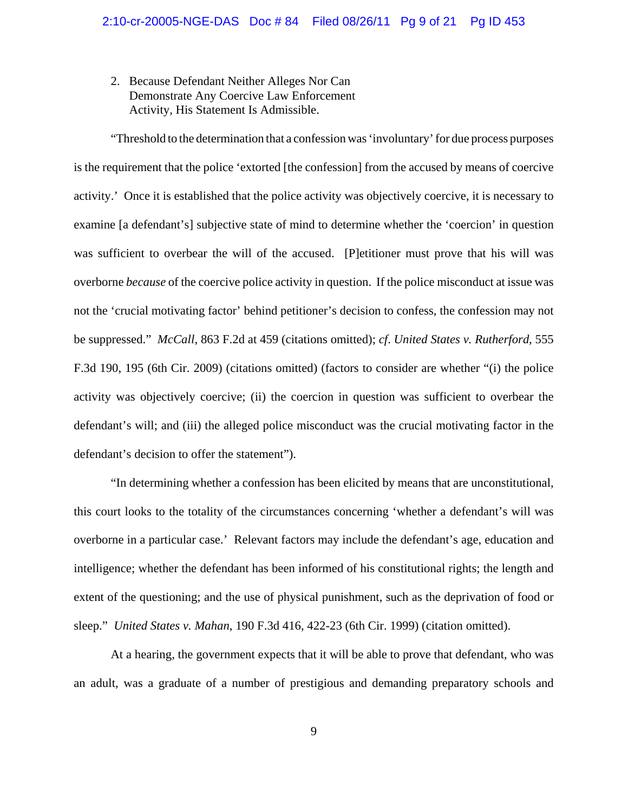2. Because Defendant Neither Alleges Nor Can Demonstrate Any Coercive Law Enforcement Activity, His Statement Is Admissible.

"Threshold to the determination that a confession was 'involuntary' for due process purposes is the requirement that the police 'extorted [the confession] from the accused by means of coercive activity.' Once it is established that the police activity was objectively coercive, it is necessary to examine [a defendant's] subjective state of mind to determine whether the 'coercion' in question was sufficient to overbear the will of the accused. [P]etitioner must prove that his will was overborne *because* of the coercive police activity in question. If the police misconduct at issue was not the 'crucial motivating factor' behind petitioner's decision to confess, the confession may not be suppressed." *McCall*, 863 F.2d at 459 (citations omitted); *cf*. *United States v. Rutherford*, 555 F.3d 190, 195 (6th Cir. 2009) (citations omitted) (factors to consider are whether "(i) the police activity was objectively coercive; (ii) the coercion in question was sufficient to overbear the defendant's will; and (iii) the alleged police misconduct was the crucial motivating factor in the defendant's decision to offer the statement").

"In determining whether a confession has been elicited by means that are unconstitutional, this court looks to the totality of the circumstances concerning 'whether a defendant's will was overborne in a particular case.' Relevant factors may include the defendant's age, education and intelligence; whether the defendant has been informed of his constitutional rights; the length and extent of the questioning; and the use of physical punishment, such as the deprivation of food or sleep." *United States v. Mahan*, 190 F.3d 416, 422-23 (6th Cir. 1999) (citation omitted).

At a hearing, the government expects that it will be able to prove that defendant, who was an adult, was a graduate of a number of prestigious and demanding preparatory schools and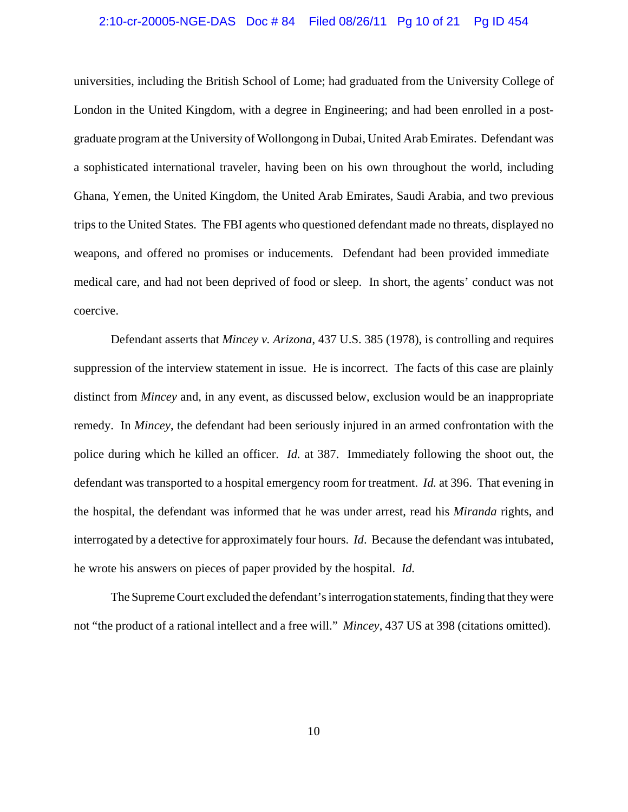### 2:10-cr-20005-NGE-DAS Doc # 84 Filed 08/26/11 Pg 10 of 21 Pg ID 454

universities, including the British School of Lome; had graduated from the University College of London in the United Kingdom, with a degree in Engineering; and had been enrolled in a postgraduate program at the University of Wollongong in Dubai, United Arab Emirates. Defendant was a sophisticated international traveler, having been on his own throughout the world, including Ghana, Yemen, the United Kingdom, the United Arab Emirates, Saudi Arabia, and two previous trips to the United States. The FBI agents who questioned defendant made no threats, displayed no weapons, and offered no promises or inducements. Defendant had been provided immediate medical care, and had not been deprived of food or sleep. In short, the agents' conduct was not coercive.

Defendant asserts that *Mincey v. Arizona*, 437 U.S. 385 (1978), is controlling and requires suppression of the interview statement in issue. He is incorrect. The facts of this case are plainly distinct from *Mincey* and, in any event, as discussed below, exclusion would be an inappropriate remedy. In *Mincey*, the defendant had been seriously injured in an armed confrontation with the police during which he killed an officer. *Id.* at 387. Immediately following the shoot out, the defendant was transported to a hospital emergency room for treatment. *Id.* at 396. That evening in the hospital, the defendant was informed that he was under arrest, read his *Miranda* rights, and interrogated by a detective for approximately four hours. *Id*. Because the defendant was intubated, he wrote his answers on pieces of paper provided by the hospital. *Id.*

The Supreme Court excluded the defendant's interrogation statements, finding that they were not "the product of a rational intellect and a free will." *Mincey*, 437 US at 398 (citations omitted).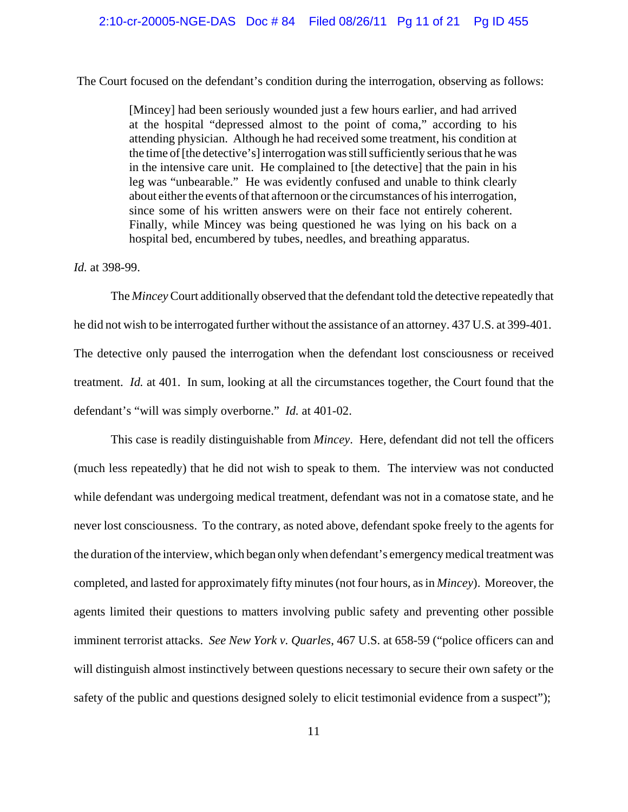#### 2:10-cr-20005-NGE-DAS Doc # 84 Filed 08/26/11 Pg 11 of 21 Pg ID 455

The Court focused on the defendant's condition during the interrogation, observing as follows:

[Mincey] had been seriously wounded just a few hours earlier, and had arrived at the hospital "depressed almost to the point of coma," according to his attending physician. Although he had received some treatment, his condition at the time of [the detective's] interrogation was still sufficiently serious that he was in the intensive care unit. He complained to [the detective] that the pain in his leg was "unbearable." He was evidently confused and unable to think clearly about either the events of that afternoon or the circumstances of his interrogation, since some of his written answers were on their face not entirely coherent. Finally, while Mincey was being questioned he was lying on his back on a hospital bed, encumbered by tubes, needles, and breathing apparatus.

### *Id.* at 398-99.

The *Mincey* Court additionally observed that the defendant told the detective repeatedly that he did not wish to be interrogated further without the assistance of an attorney. 437 U.S. at 399-401. The detective only paused the interrogation when the defendant lost consciousness or received treatment. *Id.* at 401. In sum, looking at all the circumstances together, the Court found that the defendant's "will was simply overborne." *Id.* at 401-02.

This case is readily distinguishable from *Mincey*. Here, defendant did not tell the officers (much less repeatedly) that he did not wish to speak to them. The interview was not conducted while defendant was undergoing medical treatment, defendant was not in a comatose state, and he never lost consciousness. To the contrary, as noted above, defendant spoke freely to the agents for the duration of the interview, which began only when defendant's emergency medical treatment was completed, and lasted for approximately fifty minutes (not four hours, as in *Mincey*). Moreover, the agents limited their questions to matters involving public safety and preventing other possible imminent terrorist attacks. *See New York v. Quarles*, 467 U.S. at 658-59 ("police officers can and will distinguish almost instinctively between questions necessary to secure their own safety or the safety of the public and questions designed solely to elicit testimonial evidence from a suspect");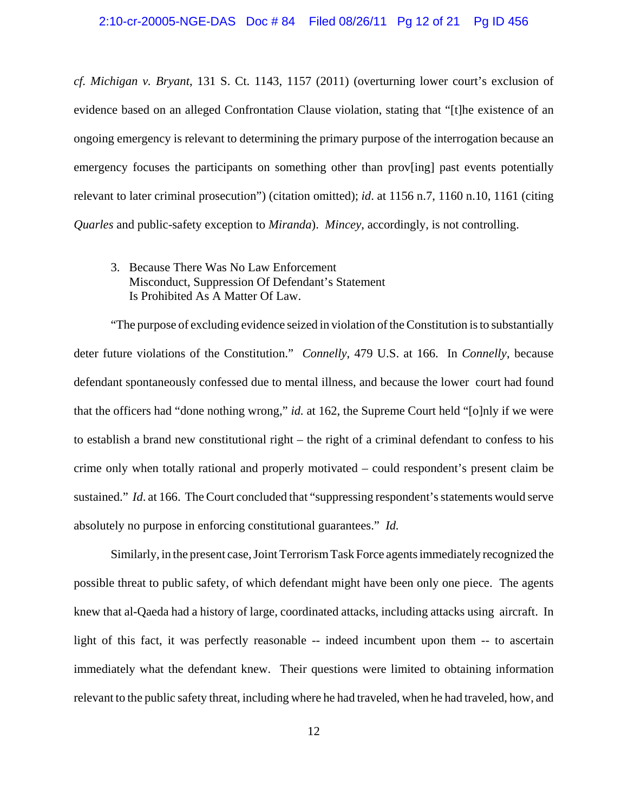*cf. Michigan v. Bryant*, 131 S. Ct. 1143, 1157 (2011) (overturning lower court's exclusion of evidence based on an alleged Confrontation Clause violation, stating that "[t]he existence of an ongoing emergency is relevant to determining the primary purpose of the interrogation because an emergency focuses the participants on something other than proverse position past events potentially relevant to later criminal prosecution") (citation omitted); *id*. at 1156 n.7, 1160 n.10, 1161 (citing *Quarles* and public-safety exception to *Miranda*). *Mincey*, accordingly, is not controlling.

3. Because There Was No Law Enforcement Misconduct, Suppression Of Defendant's Statement Is Prohibited As A Matter Of Law.

"The purpose of excluding evidence seized in violation of the Constitution is to substantially deter future violations of the Constitution." *Connelly*, 479 U.S. at 166. In *Connelly*, because defendant spontaneously confessed due to mental illness, and because the lower court had found that the officers had "done nothing wrong," *id.* at 162, the Supreme Court held "[o]nly if we were to establish a brand new constitutional right – the right of a criminal defendant to confess to his crime only when totally rational and properly motivated – could respondent's present claim be sustained." *Id.* at 166. The Court concluded that "suppressing respondent's statements would serve absolutely no purpose in enforcing constitutional guarantees." *Id.*

Similarly, in the present case, Joint Terrorism Task Force agents immediately recognized the possible threat to public safety, of which defendant might have been only one piece. The agents knew that al-Qaeda had a history of large, coordinated attacks, including attacks using aircraft. In light of this fact, it was perfectly reasonable -- indeed incumbent upon them -- to ascertain immediately what the defendant knew. Their questions were limited to obtaining information relevant to the public safety threat, including where he had traveled, when he had traveled, how, and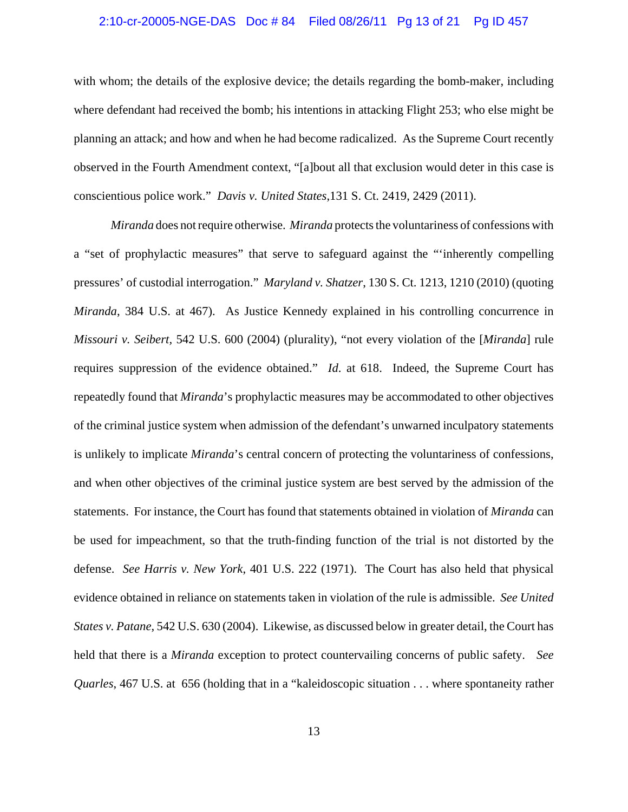### 2:10-cr-20005-NGE-DAS Doc # 84 Filed 08/26/11 Pg 13 of 21 Pg ID 457

with whom; the details of the explosive device; the details regarding the bomb-maker, including where defendant had received the bomb; his intentions in attacking Flight 253; who else might be planning an attack; and how and when he had become radicalized. As the Supreme Court recently observed in the Fourth Amendment context, "[a]bout all that exclusion would deter in this case is conscientious police work." *Davis v. United States*,131 S. Ct. 2419, 2429 (2011).

*Miranda* does not require otherwise. *Miranda* protects the voluntariness of confessions with a "set of prophylactic measures" that serve to safeguard against the "'inherently compelling pressures' of custodial interrogation." *Maryland v. Shatzer*, 130 S. Ct. 1213, 1210 (2010) (quoting *Miranda*, 384 U.S. at 467). As Justice Kennedy explained in his controlling concurrence in *Missouri v. Seibert,* 542 U.S. 600 (2004) (plurality), "not every violation of the [*Miranda*] rule requires suppression of the evidence obtained." *Id*. at 618. Indeed, the Supreme Court has repeatedly found that *Miranda*'s prophylactic measures may be accommodated to other objectives of the criminal justice system when admission of the defendant's unwarned inculpatory statements is unlikely to implicate *Miranda*'s central concern of protecting the voluntariness of confessions, and when other objectives of the criminal justice system are best served by the admission of the statements. For instance, the Court has found that statements obtained in violation of *Miranda* can be used for impeachment, so that the truth-finding function of the trial is not distorted by the defense. *See Harris v. New York*, 401 U.S. 222 (1971). The Court has also held that physical evidence obtained in reliance on statements taken in violation of the rule is admissible. *See United States v. Patane*, 542 U.S. 630 (2004). Likewise, as discussed below in greater detail, the Court has held that there is a *Miranda* exception to protect countervailing concerns of public safety. *See Quarles*, 467 U.S. at 656 (holding that in a "kaleidoscopic situation . . . where spontaneity rather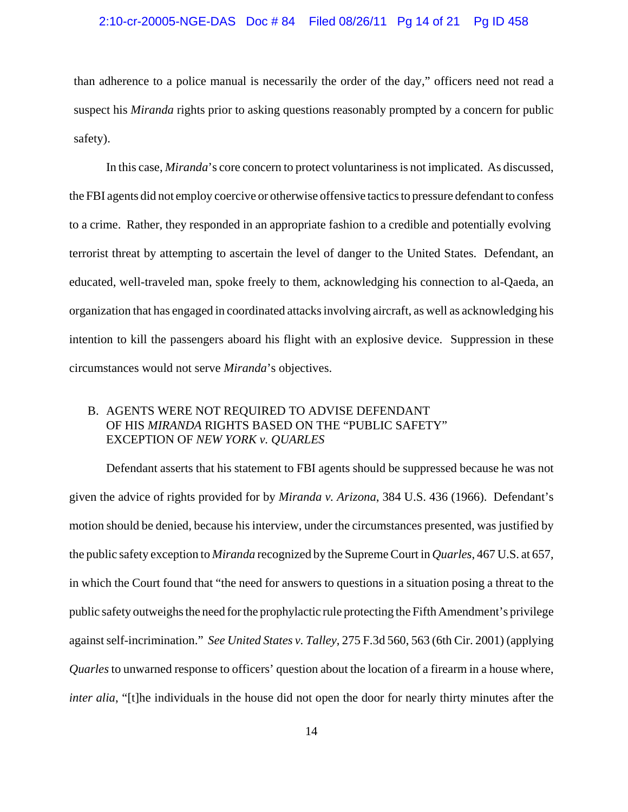### 2:10-cr-20005-NGE-DAS Doc # 84 Filed 08/26/11 Pg 14 of 21 Pg ID 458

than adherence to a police manual is necessarily the order of the day," officers need not read a suspect his *Miranda* rights prior to asking questions reasonably prompted by a concern for public safety).

In this case, *Miranda*'s core concern to protect voluntariness is not implicated. As discussed, the FBI agents did not employ coercive or otherwise offensive tactics to pressure defendant to confess to a crime. Rather, they responded in an appropriate fashion to a credible and potentially evolving terrorist threat by attempting to ascertain the level of danger to the United States. Defendant, an educated, well-traveled man, spoke freely to them, acknowledging his connection to al-Qaeda, an organization that has engaged in coordinated attacks involving aircraft, as well as acknowledging his intention to kill the passengers aboard his flight with an explosive device. Suppression in these circumstances would not serve *Miranda*'s objectives.

# B. AGENTS WERE NOT REQUIRED TO ADVISE DEFENDANT OF HIS *MIRANDA* RIGHTS BASED ON THE "PUBLIC SAFETY" EXCEPTION OF *NEW YORK v. QUARLES*

Defendant asserts that his statement to FBI agents should be suppressed because he was not given the advice of rights provided for by *Miranda v. Arizona*, 384 U.S. 436 (1966). Defendant's motion should be denied, because his interview, under the circumstances presented, was justified by the public safety exception to *Miranda* recognized by the Supreme Court in *Quarles*, 467 U.S. at 657, in which the Court found that "the need for answers to questions in a situation posing a threat to the public safety outweighs the need for the prophylactic rule protecting the Fifth Amendment's privilege against self-incrimination." *See United States v. Talley*, 275 F.3d 560, 563 (6th Cir. 2001) (applying *Quarles* to unwarned response to officers' question about the location of a firearm in a house where, *inter alia*, "[t]he individuals in the house did not open the door for nearly thirty minutes after the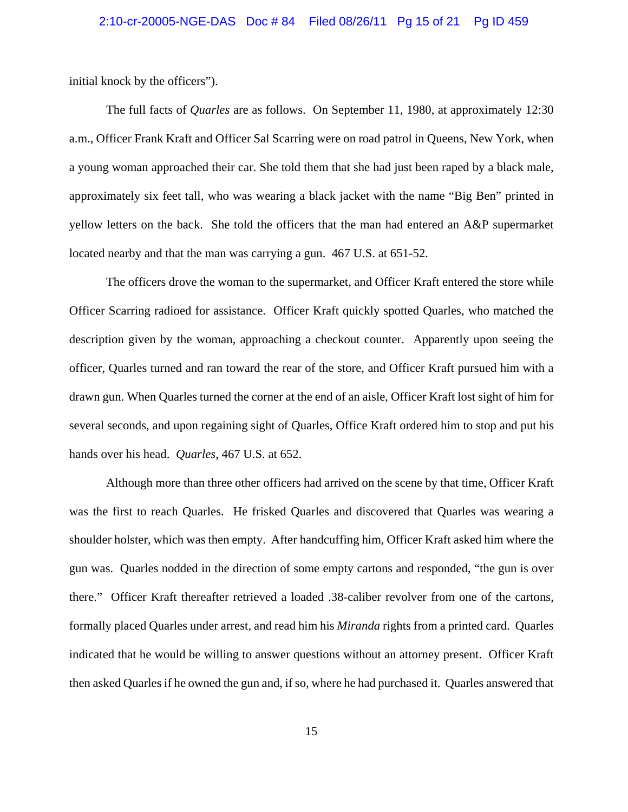initial knock by the officers").

The full facts of *Quarles* are as follows. On September 11, 1980, at approximately 12:30 a.m., Officer Frank Kraft and Officer Sal Scarring were on road patrol in Queens, New York, when a young woman approached their car. She told them that she had just been raped by a black male, approximately six feet tall, who was wearing a black jacket with the name "Big Ben" printed in yellow letters on the back. She told the officers that the man had entered an A&P supermarket located nearby and that the man was carrying a gun. 467 U.S. at 651-52.

The officers drove the woman to the supermarket, and Officer Kraft entered the store while Officer Scarring radioed for assistance. Officer Kraft quickly spotted Quarles, who matched the description given by the woman, approaching a checkout counter. Apparently upon seeing the officer, Quarles turned and ran toward the rear of the store, and Officer Kraft pursued him with a drawn gun. When Quarles turned the corner at the end of an aisle, Officer Kraft lost sight of him for several seconds, and upon regaining sight of Quarles, Office Kraft ordered him to stop and put his hands over his head. *Quarles*, 467 U.S. at 652.

Although more than three other officers had arrived on the scene by that time, Officer Kraft was the first to reach Quarles. He frisked Quarles and discovered that Quarles was wearing a shoulder holster, which was then empty. After handcuffing him, Officer Kraft asked him where the gun was. Quarles nodded in the direction of some empty cartons and responded, "the gun is over there." Officer Kraft thereafter retrieved a loaded .38-caliber revolver from one of the cartons, formally placed Quarles under arrest, and read him his *Miranda* rights from a printed card. Quarles indicated that he would be willing to answer questions without an attorney present. Officer Kraft then asked Quarles if he owned the gun and, if so, where he had purchased it. Quarles answered that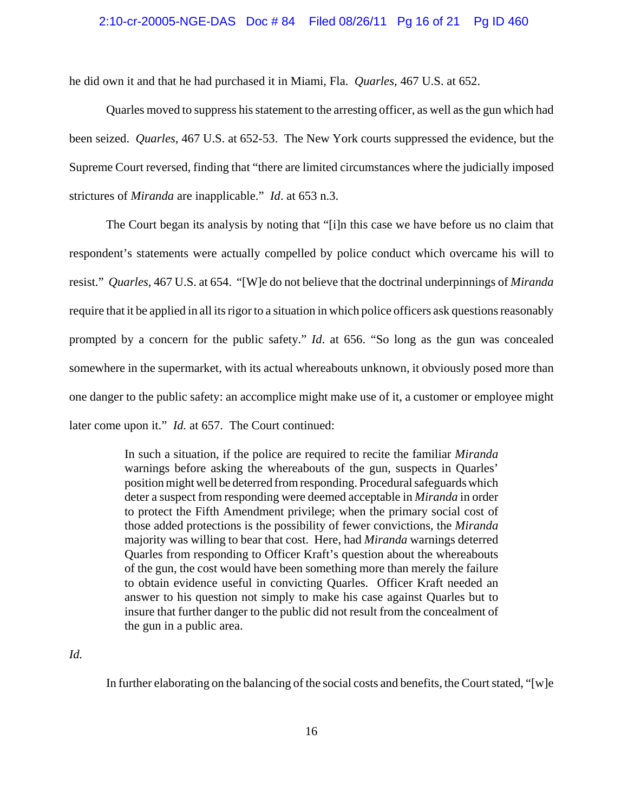### 2:10-cr-20005-NGE-DAS Doc # 84 Filed 08/26/11 Pg 16 of 21 Pg ID 460

he did own it and that he had purchased it in Miami, Fla. *Quarles*, 467 U.S. at 652.

Quarles moved to suppress his statement to the arresting officer, as well as the gun which had been seized. *Quarles*, 467 U.S. at 652-53. The New York courts suppressed the evidence, but the Supreme Court reversed, finding that "there are limited circumstances where the judicially imposed strictures of *Miranda* are inapplicable." *Id*. at 653 n.3.

The Court began its analysis by noting that "[i]n this case we have before us no claim that respondent's statements were actually compelled by police conduct which overcame his will to resist." *Quarles*, 467 U.S. at 654. "[W]e do not believe that the doctrinal underpinnings of *Miranda* require that it be applied in all its rigor to a situation in which police officers ask questions reasonably prompted by a concern for the public safety." *Id*. at 656. "So long as the gun was concealed somewhere in the supermarket, with its actual whereabouts unknown, it obviously posed more than one danger to the public safety: an accomplice might make use of it, a customer or employee might later come upon it." *Id.* at 657. The Court continued:

> In such a situation, if the police are required to recite the familiar *Miranda* warnings before asking the whereabouts of the gun, suspects in Quarles' position might well be deterred from responding. Procedural safeguards which deter a suspect from responding were deemed acceptable in *Miranda* in order to protect the Fifth Amendment privilege; when the primary social cost of those added protections is the possibility of fewer convictions, the *Miranda* majority was willing to bear that cost. Here, had *Miranda* warnings deterred Quarles from responding to Officer Kraft's question about the whereabouts of the gun, the cost would have been something more than merely the failure to obtain evidence useful in convicting Quarles. Officer Kraft needed an answer to his question not simply to make his case against Quarles but to insure that further danger to the public did not result from the concealment of the gun in a public area.

*Id.*

In further elaborating on the balancing of the social costs and benefits, the Court stated, "[w]e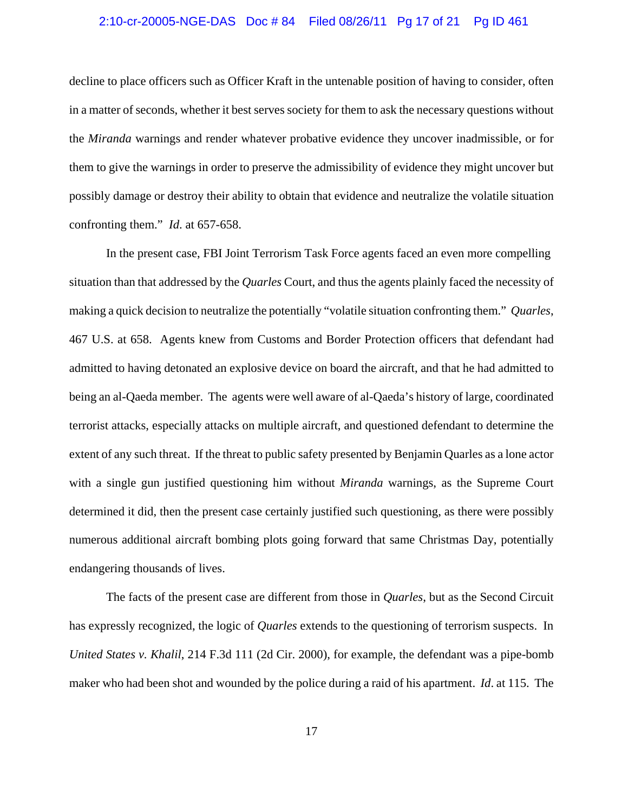### 2:10-cr-20005-NGE-DAS Doc # 84 Filed 08/26/11 Pg 17 of 21 Pg ID 461

decline to place officers such as Officer Kraft in the untenable position of having to consider, often in a matter of seconds, whether it best serves society for them to ask the necessary questions without the *Miranda* warnings and render whatever probative evidence they uncover inadmissible, or for them to give the warnings in order to preserve the admissibility of evidence they might uncover but possibly damage or destroy their ability to obtain that evidence and neutralize the volatile situation confronting them." *Id*. at 657-658.

In the present case, FBI Joint Terrorism Task Force agents faced an even more compelling situation than that addressed by the *Quarles* Court, and thus the agents plainly faced the necessity of making a quick decision to neutralize the potentially "volatile situation confronting them." *Quarles*, 467 U.S. at 658. Agents knew from Customs and Border Protection officers that defendant had admitted to having detonated an explosive device on board the aircraft, and that he had admitted to being an al-Qaeda member. The agents were well aware of al-Qaeda's history of large, coordinated terrorist attacks, especially attacks on multiple aircraft, and questioned defendant to determine the extent of any such threat. If the threat to public safety presented by Benjamin Quarles as a lone actor with a single gun justified questioning him without *Miranda* warnings, as the Supreme Court determined it did, then the present case certainly justified such questioning, as there were possibly numerous additional aircraft bombing plots going forward that same Christmas Day, potentially endangering thousands of lives.

The facts of the present case are different from those in *Quarles*, but as the Second Circuit has expressly recognized, the logic of *Quarles* extends to the questioning of terrorism suspects. In *United States v. Khalil*, 214 F.3d 111 (2d Cir. 2000), for example, the defendant was a pipe-bomb maker who had been shot and wounded by the police during a raid of his apartment. *Id*. at 115. The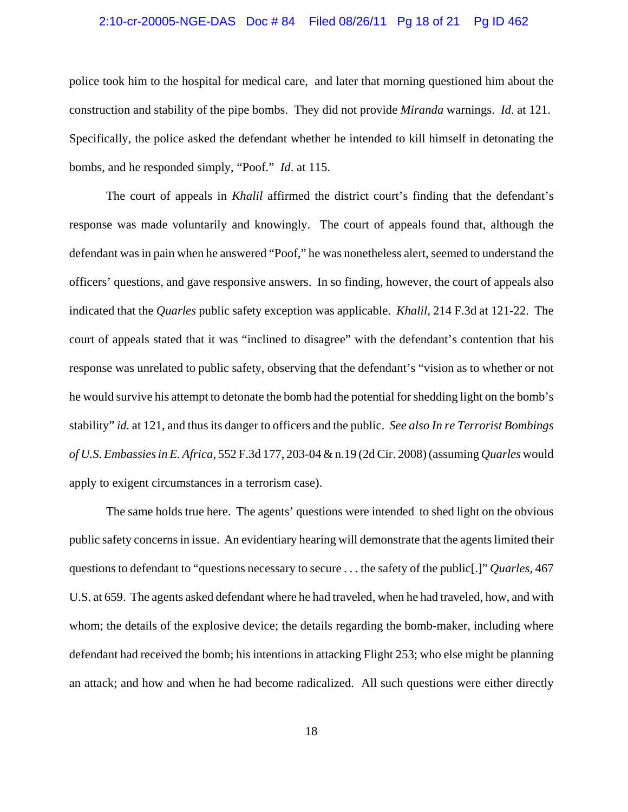### 2:10-cr-20005-NGE-DAS Doc # 84 Filed 08/26/11 Pg 18 of 21 Pg ID 462

police took him to the hospital for medical care, and later that morning questioned him about the construction and stability of the pipe bombs. They did not provide *Miranda* warnings. *Id*. at 121. Specifically, the police asked the defendant whether he intended to kill himself in detonating the bombs, and he responded simply, "Poof." *Id*. at 115.

The court of appeals in *Khalil* affirmed the district court's finding that the defendant's response was made voluntarily and knowingly. The court of appeals found that, although the defendant was in pain when he answered "Poof," he was nonetheless alert, seemed to understand the officers' questions, and gave responsive answers. In so finding, however, the court of appeals also indicated that the *Quarles* public safety exception was applicable. *Khalil*, 214 F.3d at 121-22. The court of appeals stated that it was "inclined to disagree" with the defendant's contention that his response was unrelated to public safety, observing that the defendant's "vision as to whether or not he would survive his attempt to detonate the bomb had the potential for shedding light on the bomb's stability" *id.* at 121, and thus its danger to officers and the public. *See also In re Terrorist Bombings of U.S. Embassies in E. Africa*, 552 F.3d 177, 203-04 & n.19 (2d Cir. 2008) (assuming *Quarles* would apply to exigent circumstances in a terrorism case).

The same holds true here. The agents' questions were intended to shed light on the obvious public safety concerns in issue. An evidentiary hearing will demonstrate that the agents limited their questions to defendant to "questions necessary to secure . . . the safety of the public[.]" *Quarles*, 467 U.S. at 659. The agents asked defendant where he had traveled, when he had traveled, how, and with whom; the details of the explosive device; the details regarding the bomb-maker, including where defendant had received the bomb; his intentions in attacking Flight 253; who else might be planning an attack; and how and when he had become radicalized. All such questions were either directly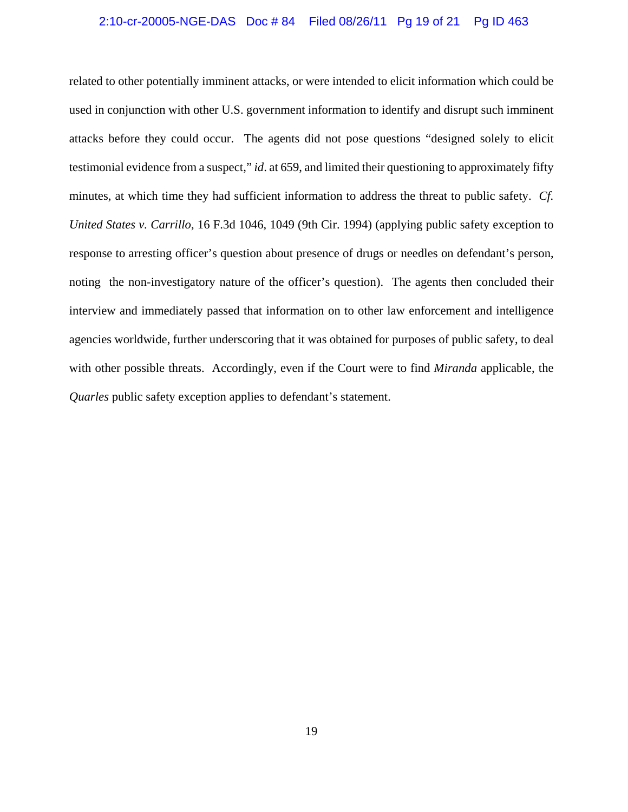### 2:10-cr-20005-NGE-DAS Doc # 84 Filed 08/26/11 Pg 19 of 21 Pg ID 463

related to other potentially imminent attacks, or were intended to elicit information which could be used in conjunction with other U.S. government information to identify and disrupt such imminent attacks before they could occur. The agents did not pose questions "designed solely to elicit testimonial evidence from a suspect," *id*. at 659, and limited their questioning to approximately fifty minutes, at which time they had sufficient information to address the threat to public safety. *Cf. United States v. Carrillo*, 16 F.3d 1046, 1049 (9th Cir. 1994) (applying public safety exception to response to arresting officer's question about presence of drugs or needles on defendant's person, noting the non-investigatory nature of the officer's question). The agents then concluded their interview and immediately passed that information on to other law enforcement and intelligence agencies worldwide, further underscoring that it was obtained for purposes of public safety, to deal with other possible threats. Accordingly, even if the Court were to find *Miranda* applicable, the *Quarles* public safety exception applies to defendant's statement.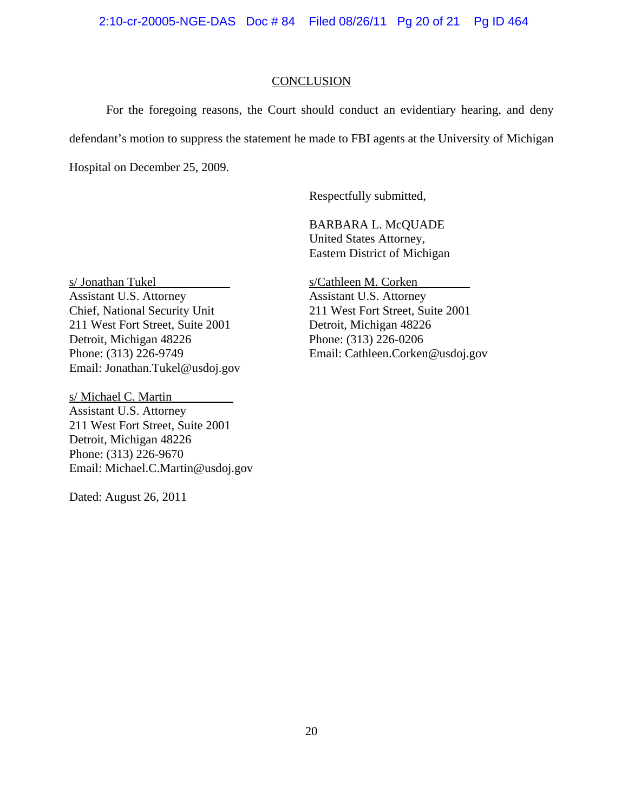2:10-cr-20005-NGE-DAS Doc # 84 Filed 08/26/11 Pg 20 of 21 Pg ID 464

### **CONCLUSION**

For the foregoing reasons, the Court should conduct an evidentiary hearing, and deny defendant's motion to suppress the statement he made to FBI agents at the University of Michigan Hospital on December 25, 2009.

Respectfully submitted,

BARBARA L. McQUADE United States Attorney, Eastern District of Michigan

s/Jonathan Tukel s/Cathleen M. Corken Assistant U.S. Attorney Assistant U.S. Attorney Chief, National Security Unit 211 West Fort Street, Suite 2001 211 West Fort Street, Suite 2001 Detroit, Michigan 48226 Detroit, Michigan 48226 Phone: (313) 226-0206 Email: Jonathan.Tukel@usdoj.gov

Phone: (313) 226-9749 Email: Cathleen.Corken@usdoj.gov

s/ Michael C. Martin Assistant U.S. Attorney 211 West Fort Street, Suite 2001 Detroit, Michigan 48226 Phone: (313) 226-9670 Email: Michael.C.Martin@usdoj.gov

Dated: August 26, 2011